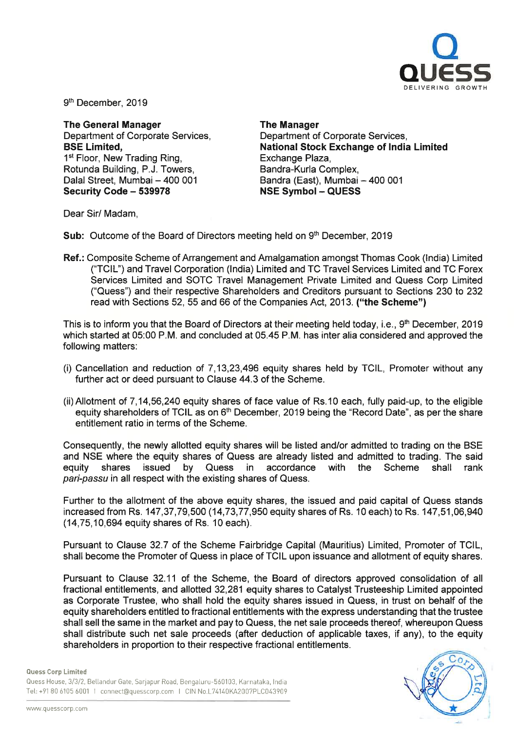

9<sup>th</sup> December, 2019

The General Manager Department of Corporate Services, BSE Limited, 1<sup>st</sup> Floor, New Trading Ring, Rotunda Building, P.J. Towers, Dalal Street, Mumbai - 400 001 Security Code - 539978

The Manager Department of Corporate Services, National Stock Exchange of India Limited Exchange Plaza, Bandra-Kurla Complex, Bandra (East), Mumbai - 400 001 NSE Symbol - QUESS

Dear Sir/ Madam,

Sub: Outcome of the Board of Directors meeting held on 9<sup>th</sup> December, 2019

Ref.: Composite Scheme of Arrangement and Amalgamation amongst Thomas Cook (India) Limited ("TCIL") and Travel Corporation (India) Limited and TC Travel Services Limited and TC Forex Services Limited and SOTC Travel Management Private Limited and Quess Corp Limited ("Quess") and their respective Shareholders and Creditors pursuant to Sections 230 to 232 read with Sections 52, 55 and 66 of the Companies Act, 2013. ("the Scheme")

This is to inform you that the Board of Directors at their meeting held today, i.e., 9<sup>th</sup> December, 2019 which started at 05:00 P.M. and concluded at 05.45 P.M. has inter alia considered and approved the following matters:

- (i) Cancellation and reduction of 7, 13,23,496 equity shares held by TCIL, Promoter without any further act or deed pursuant to Clause 44.3 of the Scheme.
- (ii)Allotment of 7, 14,56,240 equity shares of face value of Rs.10 each, fully paid-up, to the eligible equity shareholders of TCIL as on 6<sup>th</sup> December, 2019 being the "Record Date", as per the share entitlement ratio in terms of the Scheme.

Consequently, the newly allotted equity shares will be listed and/or admitted to trading on the BSE and NSE where the equity shares of Quess are already listed and admitted to trading. The said equity shares issued by Quess in accordance with the Scheme shall rank pari-passu in all respect with the existing shares of Quess.

Further to the allotment of the above equity shares, the issued and paid capital of Quess stands increased from Rs. 147,37,79,500 (14,73,77,950 equity shares of Rs. 10 each) to Rs. 147,51,06,940 (14,75,10,694 equity shares of Rs. 10 each).

Pursuant to Clause 32.7 of the Scheme Fairbridge Capital (Mauritius) Limited, Promoter of TCIL, shall become the Promoter of Quess in place of TCIL upon issuance and allotment of equity shares.

Pursuant to Clause 32.11 of the Scheme, the Board of directors approved consolidation of all fractional entitlements, and allotted 32,281 equity shares to Catalyst Trusteeship Limited appointed as Corporate Trustee, who shall hold the equity shares issued in Quess, in trust on behalf of the equity shareholders entitled to fractional entitlements with the express understanding that the trustee shall sell the same in the market and pay to Quess, the net sale proceeds thereof, whereupon Quess shall distribute such net sale proceeds (after deduction of applicable taxes, if any), to the equity shareholders in proportion to their respective fractional entitlements.

Quess Corp Limited

Quess House, 3/3/2, Bellandur Gate, Sarjapur Road, Bengaluru-560103, Karnataka, India Tel: +91 80 6105 6001 I connect@quesscorp.com I CIN No.L74140KA2007PLC043909